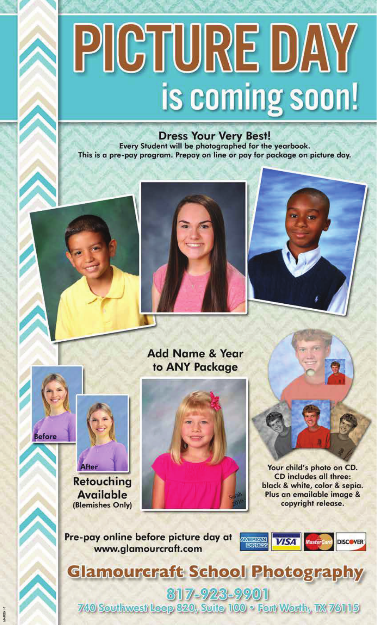## PICTURE DAY is coming soon!

Dress Your Very Best!<br>Every Student will be photographed for the yearbook. This is a pre-pay program. Prepay on line or pay for package on picture day.







## **Add Name & Year** to ANY Package









Your child's photo on CD. CD includes all three: black & white, color & sepia. Plus an emailable image & copyright release.

Pre-pay online before picture day at www.glamourcraft.com



**Glamourcraft School Photography** 

817-923-9901 740 Southwest Loop 820, Suite 100 . Fort Worth, TX 76115